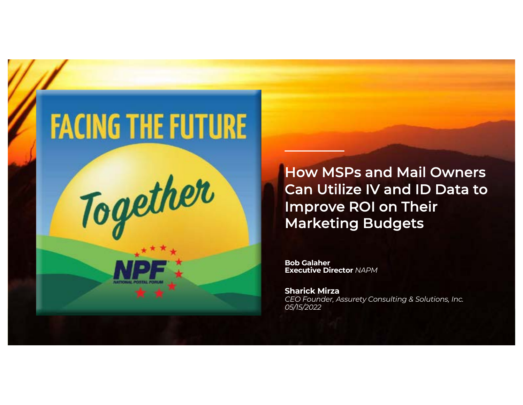

Together

How MSPs and Mail Owners Can Utilize IV and ID Data to Improve ROI on Their Marketing Budgets

**Bob Galaher Executive Director** *NAPM* 

**Sharick Mirza**  *CEO Founder, Assurety Consulting & Solutions, Inc. 05/15/2022*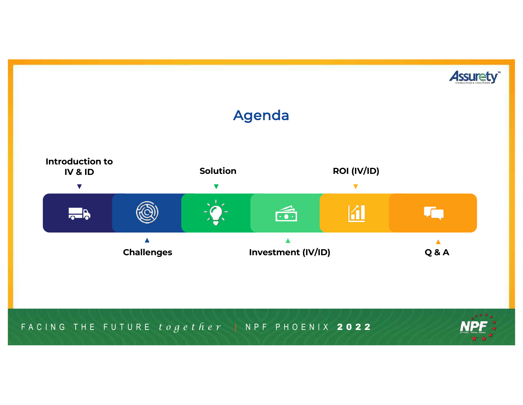

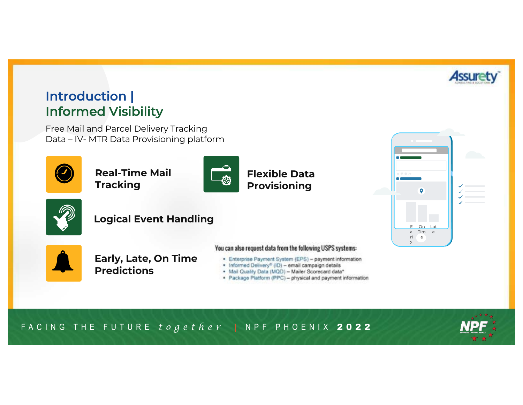

# Introduction | Informed Visibility

Free Mail and Parcel Delivery Tracking Data – IV- MTR Data Provisioning platform



**Real-Time Mail Tracking**







#### **Logical Event Handling**





#### **Early, Late, On Time Predictions**

#### You can also request data from the following USPS systems:

- · Enterprise Payment System (EPS) = payment information
- · Informed Delivery® (ID) email campaign details
- . Mail Quality Data (MQD) Mailer Scorecard data\*
- · Package Platform (PPC) physical and payment information



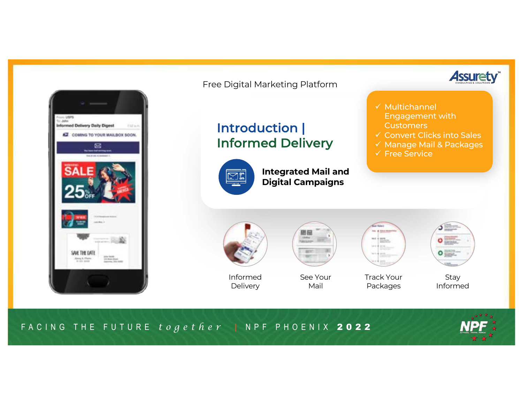

Free Digital Marketing Platform

### Introduction | Informed Delivery



**Integrated Mail and Digital Campaigns**



Informed **Delivery** 



See Your Mail

Track Your Packages

 $\times$  Multichannel

**Customers** 

 $\checkmark$  Free Service

Engagement with

 $\checkmark$  Convert Clicks into Sales  $\checkmark$  Manage Mail & Packages

**Assurety**\*



Stay Informed

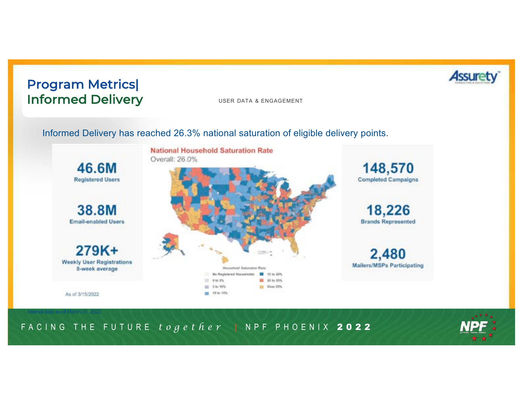

#### Program Metrics| Informed Delivery

USER DATA & ENGAGEMENT

Informed Delivery has reached 26.3% national saturation of eligible delivery points.



38.8M **Email-enabled Users** 

279K+ **Weekly User Registrations** 8-week average

As of 3/15/2022



148,570 **Completed Campaigns** 

18,226 **Brands Represented** 

2,480 Mailers/MSPs Participating

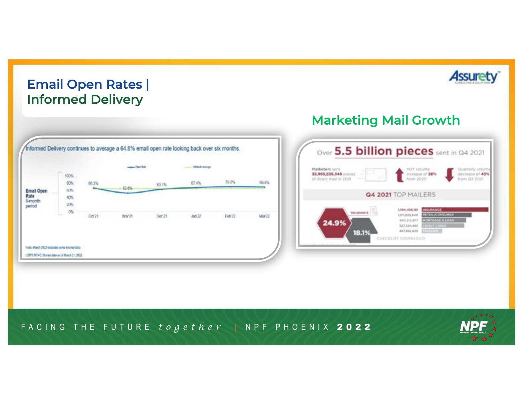# Email Open Rates | Informed Delivery



#### Marketing Mail Growth



FACING THE FUTURE *together* **|** NPF PHOENIX 2022



**Assurety**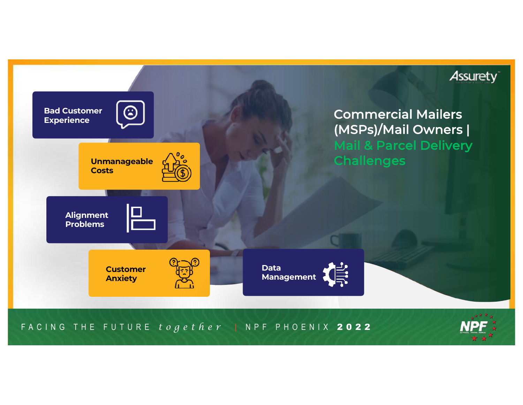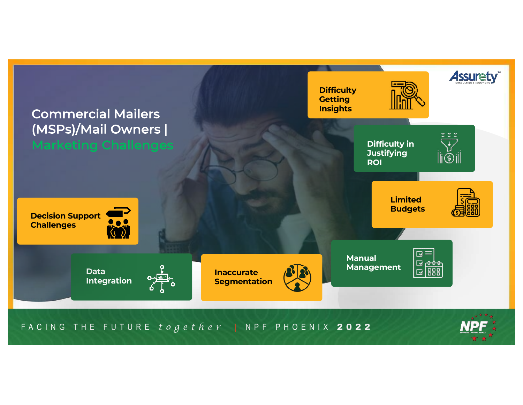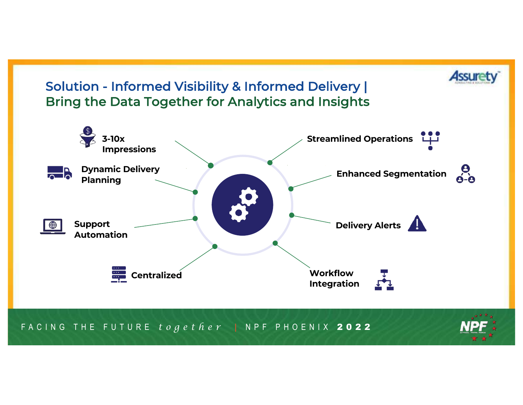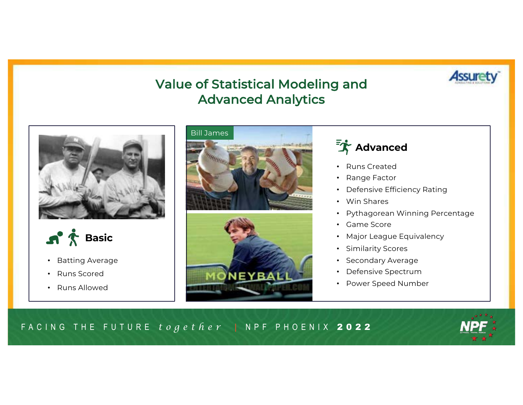# Value of Statistical Modeling and Advanced Analytics





- Batting Average
- Runs Scored
- Runs Allowed







- Runs Created
- Range Factor
- Defensive Efficiency Rating
- Win Shares
- Pythagorean Winning Percentage
- Game Score
- Major League Equivalency
- Similarity Scores
- Secondary Average
- Defensive Spectrum
- Power Speed Number

#### FACING THE FUTURE *together* **|** NPF PHOENIX 2022



**Assurety**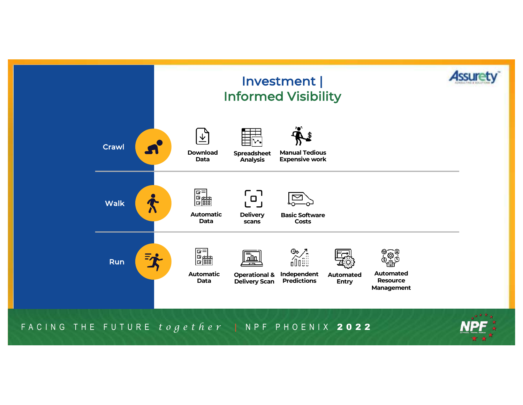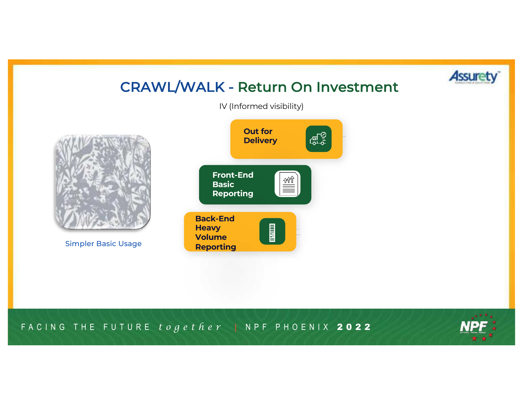

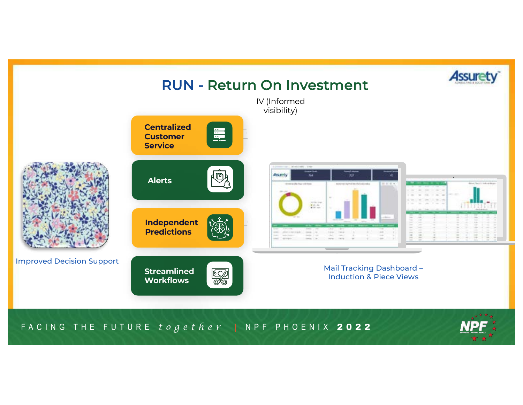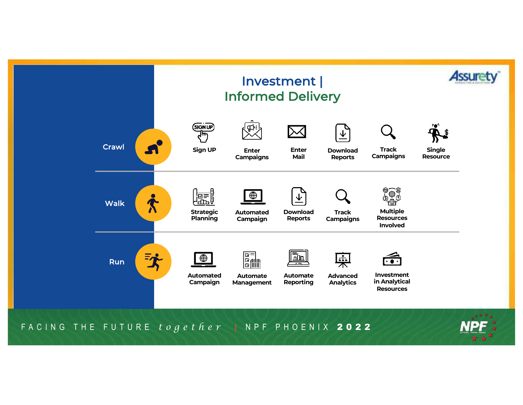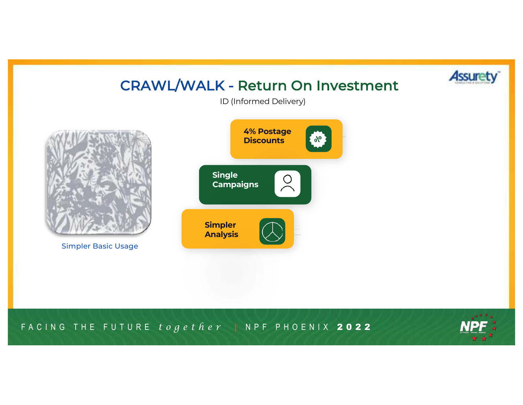

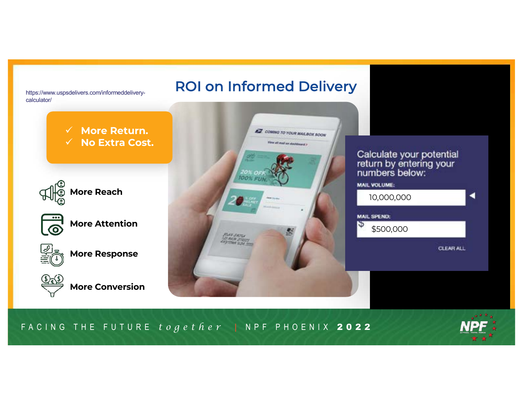

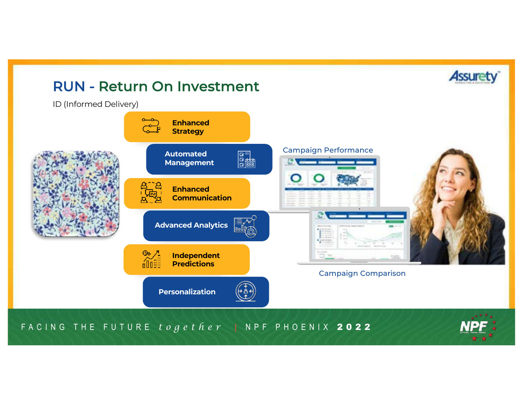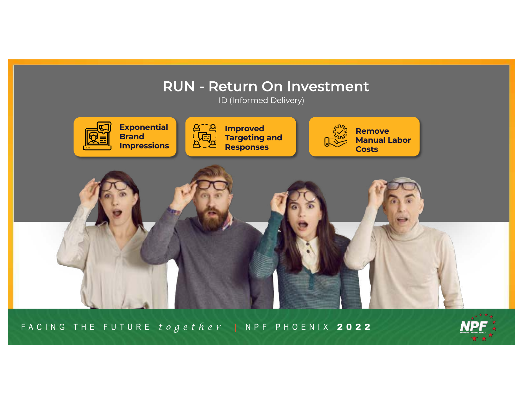# RUN - Return On Investment ID (Informed Delivery) **Improved Targeting and Responses Remove Manual Labor Costs Exponential Brand Impressions**

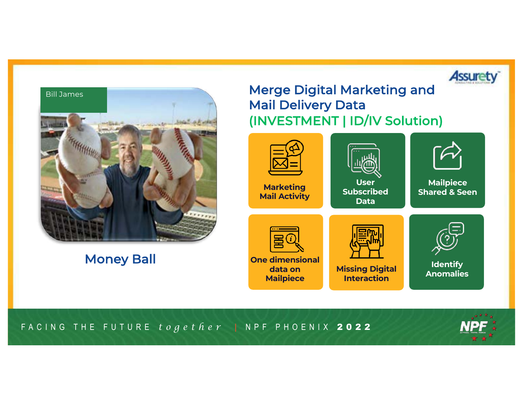

Money Ball

# Merge Digital Marketing and Mail Delivery Data (INVESTMENT | ID/IV Solution)



FACING THE FUTURE *together* **|** NPF PHOENIX 2022



Assurety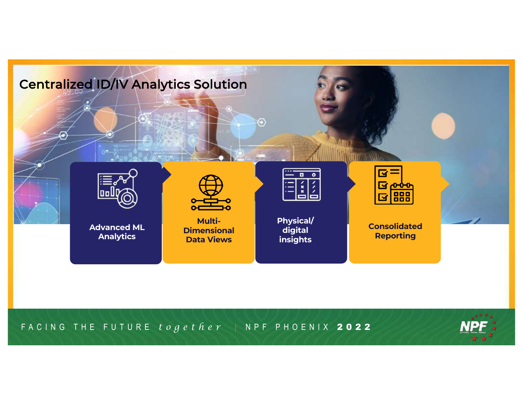

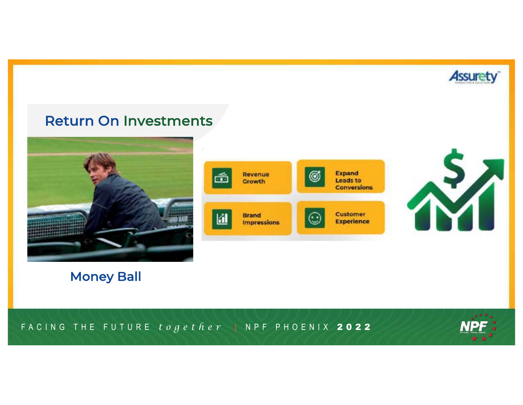# Return On Investments







Assurety®

#### Money Ball